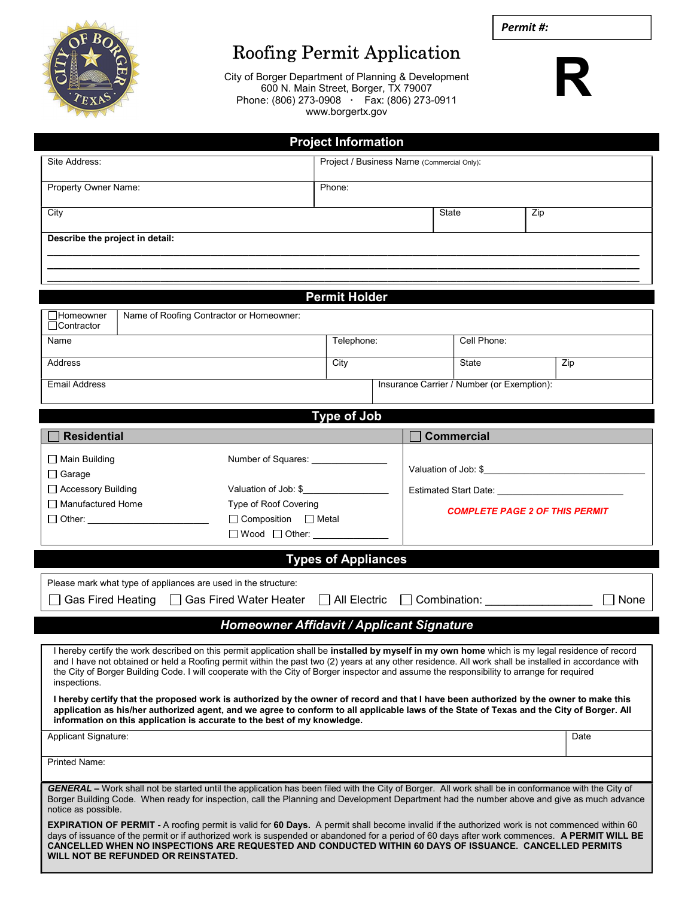

I

I

## Roofing Permit Application

City of Borger Department of Planning & Development 600 N. Main Street, Borger, TX 79007 Phone: (806) 273-0908 · Fax: (806) 273-0911 www.borgertx.gov



| <b>Project Information</b>                                                                                                                                                                                                                                                                                                                                                                                                                                              |                                                |  |                                       |                   |  |      |  |
|-------------------------------------------------------------------------------------------------------------------------------------------------------------------------------------------------------------------------------------------------------------------------------------------------------------------------------------------------------------------------------------------------------------------------------------------------------------------------|------------------------------------------------|--|---------------------------------------|-------------------|--|------|--|
| Site Address:                                                                                                                                                                                                                                                                                                                                                                                                                                                           | Project / Business Name (Commercial Only):     |  |                                       |                   |  |      |  |
| Property Owner Name:                                                                                                                                                                                                                                                                                                                                                                                                                                                    | Phone:                                         |  |                                       |                   |  |      |  |
| City                                                                                                                                                                                                                                                                                                                                                                                                                                                                    |                                                |  | State                                 | Zip               |  |      |  |
| Describe the project in detail:                                                                                                                                                                                                                                                                                                                                                                                                                                         |                                                |  |                                       |                   |  |      |  |
|                                                                                                                                                                                                                                                                                                                                                                                                                                                                         |                                                |  |                                       |                   |  |      |  |
|                                                                                                                                                                                                                                                                                                                                                                                                                                                                         | <b>Permit Holder</b>                           |  |                                       |                   |  |      |  |
| Name of Roofing Contractor or Homeowner:<br>$\Box$ Homeowner<br>□Contractor                                                                                                                                                                                                                                                                                                                                                                                             |                                                |  |                                       |                   |  |      |  |
| Name                                                                                                                                                                                                                                                                                                                                                                                                                                                                    | Telephone:                                     |  |                                       | Cell Phone:       |  |      |  |
| <b>Address</b>                                                                                                                                                                                                                                                                                                                                                                                                                                                          | City                                           |  |                                       | <b>State</b>      |  | Zip  |  |
| <b>Email Address</b>                                                                                                                                                                                                                                                                                                                                                                                                                                                    | Insurance Carrier / Number (or Exemption):     |  |                                       |                   |  |      |  |
| <b>Type of Job</b>                                                                                                                                                                                                                                                                                                                                                                                                                                                      |                                                |  |                                       |                   |  |      |  |
| <b>Residential</b>                                                                                                                                                                                                                                                                                                                                                                                                                                                      |                                                |  |                                       | <b>Commercial</b> |  |      |  |
| $\Box$ Main Building                                                                                                                                                                                                                                                                                                                                                                                                                                                    | Number of Squares: _____________               |  |                                       |                   |  |      |  |
| $\Box$ Garage                                                                                                                                                                                                                                                                                                                                                                                                                                                           |                                                |  | Valuation of Job: \$                  |                   |  |      |  |
| □ Accessory Building                                                                                                                                                                                                                                                                                                                                                                                                                                                    | Valuation of Job: \$                           |  | Estimated Start Date: ______________  |                   |  |      |  |
| Manufactured Home<br>$\Box$ Other:                                                                                                                                                                                                                                                                                                                                                                                                                                      | Type of Roof Covering<br>□ Composition □ Metal |  | <b>COMPLETE PAGE 2 OF THIS PERMIT</b> |                   |  |      |  |
|                                                                                                                                                                                                                                                                                                                                                                                                                                                                         | $\Box$ Wood $\Box$ Other:                      |  |                                       |                   |  |      |  |
| <b>Types of Appliances</b>                                                                                                                                                                                                                                                                                                                                                                                                                                              |                                                |  |                                       |                   |  |      |  |
|                                                                                                                                                                                                                                                                                                                                                                                                                                                                         |                                                |  |                                       |                   |  |      |  |
| Please mark what type of appliances are used in the structure:<br>Gas Fired Heating   Gas Fired Water Heater<br>$\Box$ All Electric<br>Combination:<br>None                                                                                                                                                                                                                                                                                                             |                                                |  |                                       |                   |  |      |  |
| <b>Homeowner Affidavit / Applicant Signature</b>                                                                                                                                                                                                                                                                                                                                                                                                                        |                                                |  |                                       |                   |  |      |  |
| I hereby certify the work described on this permit application shall be installed by myself in my own home which is my legal residence of record<br>and I have not obtained or held a Roofing permit within the past two (2) years at any other residence. All work shall be installed in accordance with<br>the City of Borger Building Code. I will cooperate with the City of Borger inspector and assume the responsibility to arrange for required<br>inspections. |                                                |  |                                       |                   |  |      |  |
| I hereby certify that the proposed work is authorized by the owner of record and that I have been authorized by the owner to make this<br>application as his/her authorized agent, and we agree to conform to all applicable laws of the State of Texas and the City of Borger. All<br>information on this application is accurate to the best of my knowledge.                                                                                                         |                                                |  |                                       |                   |  |      |  |
| <b>Applicant Signature:</b>                                                                                                                                                                                                                                                                                                                                                                                                                                             |                                                |  |                                       |                   |  | Date |  |
| Printed Name:                                                                                                                                                                                                                                                                                                                                                                                                                                                           |                                                |  |                                       |                   |  |      |  |
| GENERAL - Work shall not be started until the application has been filed with the City of Borger. All work shall be in conformance with the City of<br>Borger Building Code. When ready for inspection, call the Planning and Development Department had the number above and give as much advance<br>notice as possible.                                                                                                                                               |                                                |  |                                       |                   |  |      |  |
| <b>EXPIRATION OF PERMIT -</b> A roofing permit is valid for 60 Days. A permit shall become invalid if the authorized work is not commenced within 60<br>days of issuance of the permit or if authorized work is suspended or abandoned for a period of 60 days after work commences. A PERMIT WILL BE<br>CANCELLED WHEN NO INSPECTIONS ARE REQUESTED AND CONDUCTED WITHIN 60 DAYS OF ISSUANCE. CANCELLED PERMITS<br>WILL NOT BE REFUNDED OR REINSTATED.                 |                                                |  |                                       |                   |  |      |  |